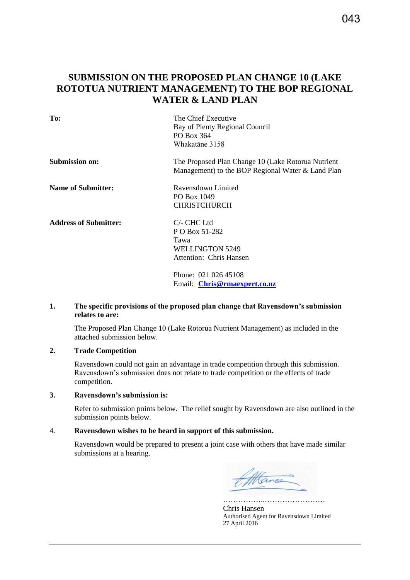# **SUBMISSION ON THE PROPOSED PLAN CHANGE 10 (LAKE ROTOTUA NUTRIENT MANAGEMENT) TO THE BOP REGIONAL WATER & LAND PLAN**

| To:                          | The Chief Executive<br>Bay of Plenty Regional Council<br>PO Box 364<br>Whakatane 3158                   |
|------------------------------|---------------------------------------------------------------------------------------------------------|
| <b>Submission on:</b>        | The Proposed Plan Change 10 (Lake Rotorua Nutrient<br>Management) to the BOP Regional Water & Land Plan |
| <b>Name of Submitter:</b>    | Ravensdown Limited<br>PO Box 1049<br><b>CHRISTCHURCH</b>                                                |
| <b>Address of Submitter:</b> | $C$ - CHC Ltd<br>P O Box 51-282<br>Tawa<br>WELLINGTON 5249<br>Attention: Chris Hansen                   |
|                              | Phone: 021 026 45108<br>Email: Chris@rmaexpert.co.nz                                                    |

#### **1. The specific provisions of the proposed plan change that Ravensdown's submission relates to are:**

The Proposed Plan Change 10 (Lake Rotorua Nutrient Management) as included in the attached submission below.

#### **2. Trade Competition**

Ravensdown could not gain an advantage in trade competition through this submission. Ravensdown's submission does not relate to trade competition or the effects of trade competition.

#### **3. Ravensdown's submission is:**

Refer to submission points below. The relief sought by Ravensdown are also outlined in the submission points below.

#### 4. **Ravensdown wishes to be heard in support of this submission.**

Ravensdown would be prepared to present a joint case with others that have made similar submissions at a hearing.

Hance

Chris Hansen Authorised Agent for Ravensdown Limited 27 April 2016

……………..……………………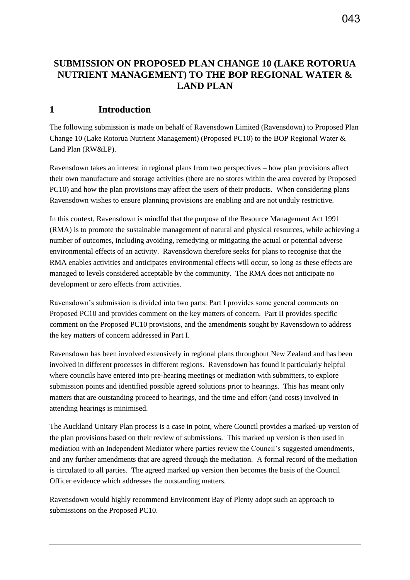# **SUBMISSION ON PROPOSED PLAN CHANGE 10 (LAKE ROTORUA NUTRIENT MANAGEMENT) TO THE BOP REGIONAL WATER & LAND PLAN**

# **1 Introduction**

The following submission is made on behalf of Ravensdown Limited (Ravensdown) to Proposed Plan Change 10 (Lake Rotorua Nutrient Management) (Proposed PC10) to the BOP Regional Water & Land Plan (RW&LP).

Ravensdown takes an interest in regional plans from two perspectives – how plan provisions affect their own manufacture and storage activities (there are no stores within the area covered by Proposed PC10) and how the plan provisions may affect the users of their products. When considering plans Ravensdown wishes to ensure planning provisions are enabling and are not unduly restrictive.

In this context, Ravensdown is mindful that the purpose of the Resource Management Act 1991 (RMA) is to promote the sustainable management of natural and physical resources, while achieving a number of outcomes, including avoiding, remedying or mitigating the actual or potential adverse environmental effects of an activity. Ravensdown therefore seeks for plans to recognise that the RMA enables activities and anticipates environmental effects will occur, so long as these effects are managed to levels considered acceptable by the community. The RMA does not anticipate no development or zero effects from activities.

Ravensdown's submission is divided into two parts: Part I provides some general comments on Proposed PC10 and provides comment on the key matters of concern. Part II provides specific comment on the Proposed PC10 provisions, and the amendments sought by Ravensdown to address the key matters of concern addressed in Part I.

Ravensdown has been involved extensively in regional plans throughout New Zealand and has been involved in different processes in different regions. Ravensdown has found it particularly helpful where councils have entered into pre-hearing meetings or mediation with submitters, to explore submission points and identified possible agreed solutions prior to hearings. This has meant only matters that are outstanding proceed to hearings, and the time and effort (and costs) involved in attending hearings is minimised.

The Auckland Unitary Plan process is a case in point, where Council provides a marked-up version of the plan provisions based on their review of submissions. This marked up version is then used in mediation with an Independent Mediator where parties review the Council's suggested amendments, and any further amendments that are agreed through the mediation. A formal record of the mediation is circulated to all parties. The agreed marked up version then becomes the basis of the Council Officer evidence which addresses the outstanding matters.

Ravensdown would highly recommend Environment Bay of Plenty adopt such an approach to submissions on the Proposed PC10.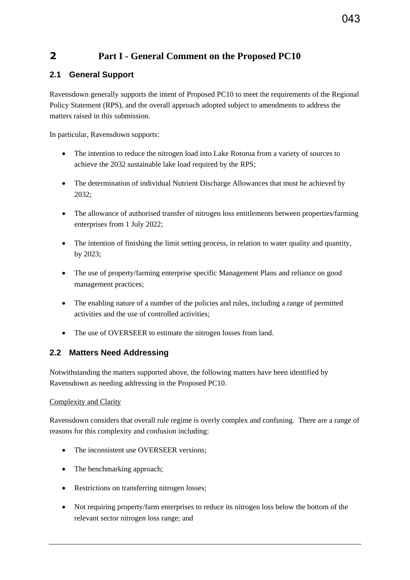# **2 Part I - General Comment on the Proposed PC10**

# **2.1 General Support**

Ravensdown generally supports the intent of Proposed PC10 to meet the requirements of the Regional Policy Statement (RPS), and the overall approach adopted subject to amendments to address the matters raised in this submission.

In particular, Ravensdown supports:

- The intention to reduce the nitrogen load into Lake Rotorua from a variety of sources to achieve the 2032 sustainable lake load required by the RPS;
- The determination of individual Nutrient Discharge Allowances that must be achieved by 2032;
- The allowance of authorised transfer of nitrogen loss entitlements between properties/farming enterprises from 1 July 2022;
- The intention of finishing the limit setting process, in relation to water quality and quantity, by 2023;
- The use of property/farming enterprise specific Management Plans and reliance on good management practices;
- The enabling nature of a number of the policies and rules, including a range of permitted activities and the use of controlled activities;
- The use of OVERSEER to estimate the nitrogen losses from land.

# **2.2 Matters Need Addressing**

Notwithstanding the matters supported above, the following matters have been identified by Ravensdown as needing addressing in the Proposed PC10.

## Complexity and Clarity

Ravensdown considers that overall rule regime is overly complex and confusing. There are a range of reasons for this complexity and confusion including:

- The inconsistent use OVERSEER versions:
- The benchmarking approach;
- Restrictions on transferring nitrogen losses;
- Not requiring property/farm enterprises to reduce its nitrogen loss below the bottom of the relevant sector nitrogen loss range; and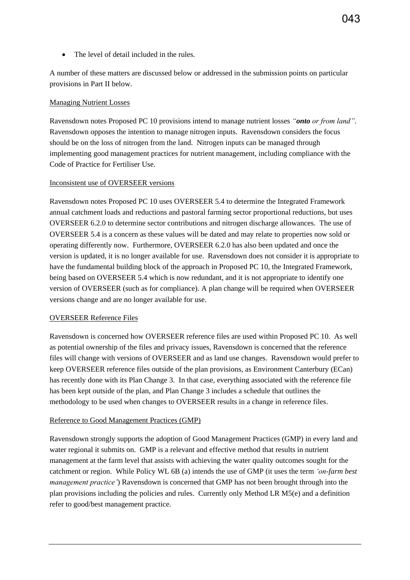• The level of detail included in the rules.

A number of these matters are discussed below or addressed in the submission points on particular provisions in Part II below.

#### Managing Nutrient Losses

Ravensdown notes Proposed PC 10 provisions intend to manage nutrient losses *"onto or from land"*. Ravensdown opposes the intention to manage nitrogen inputs. Ravensdown considers the focus should be on the loss of nitrogen from the land. Nitrogen inputs can be managed through implementing good management practices for nutrient management, including compliance with the Code of Practice for Fertiliser Use.

### Inconsistent use of OVERSEER versions

Ravensdown notes Proposed PC 10 uses OVERSEER 5.4 to determine the Integrated Framework annual catchment loads and reductions and pastoral farming sector proportional reductions, but uses OVERSEER 6.2.0 to determine sector contributions and nitrogen discharge allowances. The use of OVERSEER 5.4 is a concern as these values will be dated and may relate to properties now sold or operating differently now. Furthermore, OVERSEER 6.2.0 has also been updated and once the version is updated, it is no longer available for use. Ravensdown does not consider it is appropriate to have the fundamental building block of the approach in Proposed PC 10, the Integrated Framework, being based on OVERSEER 5.4 which is now redundant, and it is not appropriate to identify one version of OVERSEER (such as for compliance). A plan change will be required when OVERSEER versions change and are no longer available for use.

#### OVERSEER Reference Files

Ravensdown is concerned how OVERSEER reference files are used within Proposed PC 10. As well as potential ownership of the files and privacy issues, Ravensdown is concerned that the reference files will change with versions of OVERSEER and as land use changes. Ravensdown would prefer to keep OVERSEER reference files outside of the plan provisions, as Environment Canterbury (ECan) has recently done with its Plan Change 3. In that case, everything associated with the reference file has been kept outside of the plan, and Plan Change 3 includes a schedule that outlines the methodology to be used when changes to OVERSEER results in a change in reference files.

## Reference to Good Management Practices (GMP)

Ravensdown strongly supports the adoption of Good Management Practices (GMP) in every land and water regional it submits on. GMP is a relevant and effective method that results in nutrient management at the farm level that assists with achieving the water quality outcomes sought for the catchment or region. While Policy WL 6B (a) intends the use of GMP (it uses the term *'on-farm best management practice'*) Ravensdown is concerned that GMP has not been brought through into the plan provisions including the policies and rules. Currently only Method LR M5(e) and a definition refer to good/best management practice.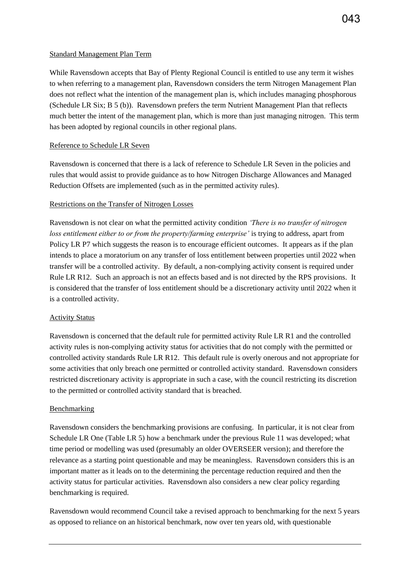While Ravensdown accepts that Bay of Plenty Regional Council is entitled to use any term it wishes to when referring to a management plan, Ravensdown considers the term Nitrogen Management Plan does not reflect what the intention of the management plan is, which includes managing phosphorous (Schedule LR Six; B 5 (b)). Ravensdown prefers the term Nutrient Management Plan that reflects much better the intent of the management plan, which is more than just managing nitrogen. This term has been adopted by regional councils in other regional plans.

#### Reference to Schedule LR Seven

Ravensdown is concerned that there is a lack of reference to Schedule LR Seven in the policies and rules that would assist to provide guidance as to how Nitrogen Discharge Allowances and Managed Reduction Offsets are implemented (such as in the permitted activity rules).

### Restrictions on the Transfer of Nitrogen Losses

Ravensdown is not clear on what the permitted activity condition *'There is no transfer of nitrogen loss entitlement either to or from the property/farming enterprise'* is trying to address, apart from Policy LR P7 which suggests the reason is to encourage efficient outcomes. It appears as if the plan intends to place a moratorium on any transfer of loss entitlement between properties until 2022 when transfer will be a controlled activity. By default, a non-complying activity consent is required under Rule LR R12. Such an approach is not an effects based and is not directed by the RPS provisions. It is considered that the transfer of loss entitlement should be a discretionary activity until 2022 when it is a controlled activity.

#### Activity Status

Ravensdown is concerned that the default rule for permitted activity Rule LR R1 and the controlled activity rules is non-complying activity status for activities that do not comply with the permitted or controlled activity standards Rule LR R12. This default rule is overly onerous and not appropriate for some activities that only breach one permitted or controlled activity standard. Ravensdown considers restricted discretionary activity is appropriate in such a case, with the council restricting its discretion to the permitted or controlled activity standard that is breached.

#### Benchmarking

Ravensdown considers the benchmarking provisions are confusing. In particular, it is not clear from Schedule LR One (Table LR 5) how a benchmark under the previous Rule 11 was developed; what time period or modelling was used (presumably an older OVERSEER version); and therefore the relevance as a starting point questionable and may be meaningless. Ravensdown considers this is an important matter as it leads on to the determining the percentage reduction required and then the activity status for particular activities. Ravensdown also considers a new clear policy regarding benchmarking is required.

Ravensdown would recommend Council take a revised approach to benchmarking for the next 5 years as opposed to reliance on an historical benchmark, now over ten years old, with questionable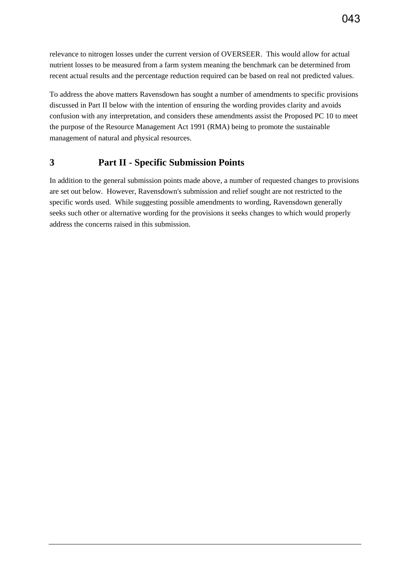To address the above matters Ravensdown has sought a number of amendments to specific provisions discussed in Part II below with the intention of ensuring the wording provides clarity and avoids confusion with any interpretation, and considers these amendments assist the Proposed PC 10 to meet the purpose of the Resource Management Act 1991 (RMA) being to promote the sustainable management of natural and physical resources.

# **3 Part II - Specific Submission Points**

In addition to the general submission points made above, a number of requested changes to provisions are set out below. However, Ravensdown's submission and relief sought are not restricted to the specific words used. While suggesting possible amendments to wording, Ravensdown generally seeks such other or alternative wording for the provisions it seeks changes to which would properly address the concerns raised in this submission.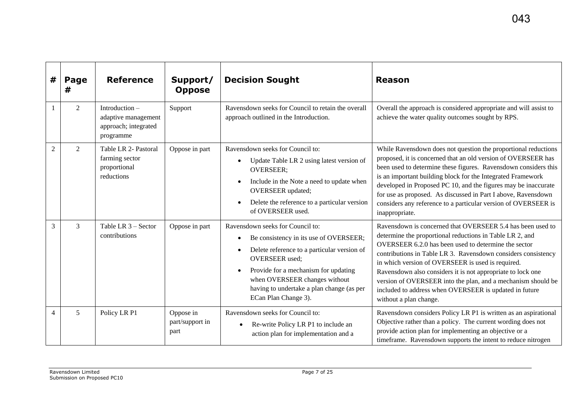| #              | Page<br>#      | <b>Reference</b>                                                             | Support/<br><b>Oppose</b>            | <b>Decision Sought</b>                                                                                                                                                                                                                                                                           | <b>Reason</b>                                                                                                                                                                                                                                                                                                                                                                                                                                                                                                           |
|----------------|----------------|------------------------------------------------------------------------------|--------------------------------------|--------------------------------------------------------------------------------------------------------------------------------------------------------------------------------------------------------------------------------------------------------------------------------------------------|-------------------------------------------------------------------------------------------------------------------------------------------------------------------------------------------------------------------------------------------------------------------------------------------------------------------------------------------------------------------------------------------------------------------------------------------------------------------------------------------------------------------------|
|                | 2              | Introduction $-$<br>adaptive management<br>approach; integrated<br>programme | Support                              | Ravensdown seeks for Council to retain the overall<br>approach outlined in the Introduction.                                                                                                                                                                                                     | Overall the approach is considered appropriate and will assist to<br>achieve the water quality outcomes sought by RPS.                                                                                                                                                                                                                                                                                                                                                                                                  |
| $\overline{2}$ | $\overline{2}$ | Table LR 2- Pastoral<br>farming sector<br>proportional<br>reductions         | Oppose in part                       | Ravensdown seeks for Council to:<br>Update Table LR 2 using latest version of<br><b>OVERSEER:</b><br>Include in the Note a need to update when<br><b>OVERSEER</b> updated;<br>Delete the reference to a particular version<br>of OVERSEER used.                                                  | While Ravensdown does not question the proportional reductions<br>proposed, it is concerned that an old version of OVERSEER has<br>been used to determine these figures. Ravensdown considers this<br>is an important building block for the Integrated Framework<br>developed in Proposed PC 10, and the figures may be inaccurate<br>for use as proposed. As discussed in Part I above, Ravensdown<br>considers any reference to a particular version of OVERSEER is<br>inappropriate.                                |
| 3              | 3              | Table LR 3 - Sector<br>contributions                                         | Oppose in part                       | Ravensdown seeks for Council to:<br>Be consistency in its use of OVERSEER;<br>Delete reference to a particular version of<br><b>OVERSEER</b> used;<br>Provide for a mechanism for updating<br>when OVERSEER changes without<br>having to undertake a plan change (as per<br>ECan Plan Change 3). | Ravensdown is concerned that OVERSEER 5.4 has been used to<br>determine the proportional reductions in Table LR 2, and<br>OVERSEER 6.2.0 has been used to determine the sector<br>contributions in Table LR 3. Ravensdown considers consistency<br>in which version of OVERSEER is used is required.<br>Ravensdown also considers it is not appropriate to lock one<br>version of OVERSEER into the plan, and a mechanism should be<br>included to address when OVERSEER is updated in future<br>without a plan change. |
| $\overline{4}$ | 5              | Policy LR P1                                                                 | Oppose in<br>part/support in<br>part | Ravensdown seeks for Council to:<br>Re-write Policy LR P1 to include an<br>$\bullet$<br>action plan for implementation and a                                                                                                                                                                     | Ravensdown considers Policy LR P1 is written as an aspirational<br>Objective rather than a policy. The current wording does not<br>provide action plan for implementing an objective or a<br>timeframe. Ravensdown supports the intent to reduce nitrogen                                                                                                                                                                                                                                                               |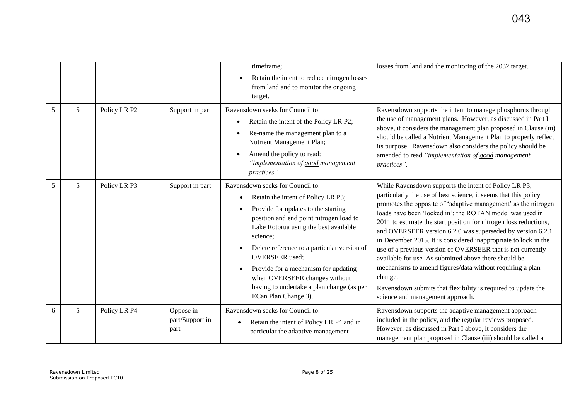|   |   |              |                                      | timeframe;<br>Retain the intent to reduce nitrogen losses<br>from land and to monitor the ongoing<br>target.                                                                                                                                                                                                                                                                                                                        | losses from land and the monitoring of the 2032 target.                                                                                                                                                                                                                                                                                                                                                                                                                                                                                                                                                                                                                                                                                                           |
|---|---|--------------|--------------------------------------|-------------------------------------------------------------------------------------------------------------------------------------------------------------------------------------------------------------------------------------------------------------------------------------------------------------------------------------------------------------------------------------------------------------------------------------|-------------------------------------------------------------------------------------------------------------------------------------------------------------------------------------------------------------------------------------------------------------------------------------------------------------------------------------------------------------------------------------------------------------------------------------------------------------------------------------------------------------------------------------------------------------------------------------------------------------------------------------------------------------------------------------------------------------------------------------------------------------------|
| 5 | 5 | Policy LR P2 | Support in part                      | Ravensdown seeks for Council to:<br>Retain the intent of the Policy LR P2;<br>Re-name the management plan to a<br>Nutrient Management Plan;<br>Amend the policy to read:<br>"implementation of good management<br>practices"                                                                                                                                                                                                        | Ravensdown supports the intent to manage phosphorus through<br>the use of management plans. However, as discussed in Part I<br>above, it considers the management plan proposed in Clause (iii)<br>should be called a Nutrient Management Plan to properly reflect<br>its purpose. Ravensdown also considers the policy should be<br>amended to read "implementation of good management<br>practices".                                                                                                                                                                                                                                                                                                                                                            |
| 5 | 5 | Policy LR P3 | Support in part                      | Ravensdown seeks for Council to:<br>Retain the intent of Policy LR P3;<br>Provide for updates to the starting<br>position and end point nitrogen load to<br>Lake Rotorua using the best available<br>science;<br>Delete reference to a particular version of<br><b>OVERSEER</b> used;<br>Provide for a mechanism for updating<br>when OVERSEER changes without<br>having to undertake a plan change (as per<br>ECan Plan Change 3). | While Ravensdown supports the intent of Policy LR P3,<br>particularly the use of best science, it seems that this policy<br>promotes the opposite of 'adaptive management' as the nitrogen<br>loads have been 'locked in'; the ROTAN model was used in<br>2011 to estimate the start position for nitrogen loss reductions,<br>and OVERSEER version 6.2.0 was superseded by version 6.2.1<br>in December 2015. It is considered inappropriate to lock in the<br>use of a previous version of OVERSEER that is not currently<br>available for use. As submitted above there should be<br>mechanisms to amend figures/data without requiring a plan<br>change.<br>Ravensdown submits that flexibility is required to update the<br>science and management approach. |
| 6 | 5 | Policy LR P4 | Oppose in<br>part/Support in<br>part | Ravensdown seeks for Council to:<br>Retain the intent of Policy LR P4 and in<br>particular the adaptive management                                                                                                                                                                                                                                                                                                                  | Ravensdown supports the adaptive management approach<br>included in the policy, and the regular reviews proposed.<br>However, as discussed in Part I above, it considers the<br>management plan proposed in Clause (iii) should be called a                                                                                                                                                                                                                                                                                                                                                                                                                                                                                                                       |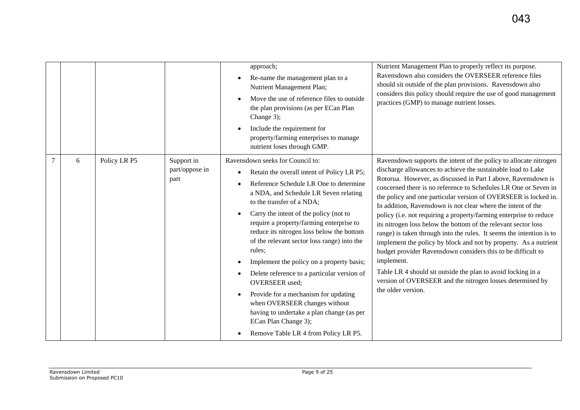|   |              |                                      | approach;<br>Re-name the management plan to a<br>Nutrient Management Plan;<br>Move the use of reference files to outside<br>the plan provisions (as per ECan Plan<br>Change 3);<br>Include the requirement for                                                                                                                                                                                                                                                                                                                                                                                                                                                | Nutrient Management Plan to properly reflect its purpose.<br>Ravensdown also considers the OVERSEER reference files<br>should sit outside of the plan provisions. Ravensdown also<br>considers this policy should require the use of good management<br>practices (GMP) to manage nutrient losses.                                                                                                                                                                                                                                                                                                                                                                                                                                                                                                                                                                                                                            |
|---|--------------|--------------------------------------|---------------------------------------------------------------------------------------------------------------------------------------------------------------------------------------------------------------------------------------------------------------------------------------------------------------------------------------------------------------------------------------------------------------------------------------------------------------------------------------------------------------------------------------------------------------------------------------------------------------------------------------------------------------|-------------------------------------------------------------------------------------------------------------------------------------------------------------------------------------------------------------------------------------------------------------------------------------------------------------------------------------------------------------------------------------------------------------------------------------------------------------------------------------------------------------------------------------------------------------------------------------------------------------------------------------------------------------------------------------------------------------------------------------------------------------------------------------------------------------------------------------------------------------------------------------------------------------------------------|
|   |              |                                      | property/farming enterprises to manage<br>nutrient loses through GMP.                                                                                                                                                                                                                                                                                                                                                                                                                                                                                                                                                                                         |                                                                                                                                                                                                                                                                                                                                                                                                                                                                                                                                                                                                                                                                                                                                                                                                                                                                                                                               |
| 6 | Policy LR P5 | Support in<br>part/oppose in<br>part | Ravensdown seeks for Council to:<br>Retain the overall intent of Policy LR P5;<br>Reference Schedule LR One to determine<br>a NDA, and Schedule LR Seven relating<br>to the transfer of a NDA;<br>Carry the intent of the policy (not to<br>require a property/farming enterprise to<br>reduce its nitrogen loss below the bottom<br>of the relevant sector loss range) into the<br>rules;<br>Implement the policy on a property basis;<br>Delete reference to a particular version of<br><b>OVERSEER</b> used;<br>Provide for a mechanism for updating<br>when OVERSEER changes without<br>having to undertake a plan change (as per<br>ECan Plan Change 3); | Ravensdown supports the intent of the policy to allocate nitrogen<br>discharge allowances to achieve the sustainable load to Lake<br>Rotorua. However, as discussed in Part I above, Ravensdown is<br>concerned there is no reference to Schedules LR One or Seven in<br>the policy and one particular version of OVERSEER is locked in.<br>In addition, Ravensdown is not clear where the intent of the<br>policy (i.e. not requiring a property/farming enterprise to reduce<br>its nitrogen loss below the bottom of the relevant sector loss<br>range) is taken through into the rules. It seems the intention is to<br>implement the policy by block and not by property. As a nutrient<br>budget provider Ravensdown considers this to be difficult to<br>implement.<br>Table LR 4 should sit outside the plan to avoid locking in a<br>version of OVERSEER and the nitrogen losses determined by<br>the older version. |
|   |              |                                      | Remove Table LR 4 from Policy LR P5.                                                                                                                                                                                                                                                                                                                                                                                                                                                                                                                                                                                                                          |                                                                                                                                                                                                                                                                                                                                                                                                                                                                                                                                                                                                                                                                                                                                                                                                                                                                                                                               |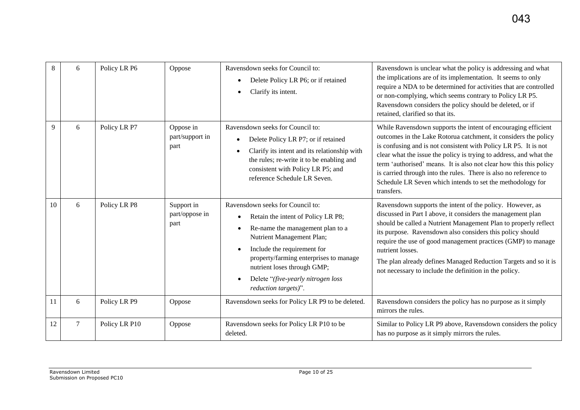| 8  | 6 | Policy LR P6  | Oppose                               | Ravensdown seeks for Council to:<br>Delete Policy LR P6; or if retained<br>Clarify its intent.                                                                                                                                                                                                                | Ravensdown is unclear what the policy is addressing and what<br>the implications are of its implementation. It seems to only<br>require a NDA to be determined for activities that are controlled<br>or non-complying, which seems contrary to Policy LR P5.<br>Ravensdown considers the policy should be deleted, or if<br>retained, clarified so that its.                                                                                                                                    |
|----|---|---------------|--------------------------------------|---------------------------------------------------------------------------------------------------------------------------------------------------------------------------------------------------------------------------------------------------------------------------------------------------------------|-------------------------------------------------------------------------------------------------------------------------------------------------------------------------------------------------------------------------------------------------------------------------------------------------------------------------------------------------------------------------------------------------------------------------------------------------------------------------------------------------|
| 9  | 6 | Policy LR P7  | Oppose in<br>part/support in<br>part | Ravensdown seeks for Council to:<br>Delete Policy LR P7; or if retained<br>Clarify its intent and its relationship with<br>the rules; re-write it to be enabling and<br>consistent with Policy LR P5; and<br>reference Schedule LR Seven.                                                                     | While Ravensdown supports the intent of encouraging efficient<br>outcomes in the Lake Rotorua catchment, it considers the policy<br>is confusing and is not consistent with Policy LR P5. It is not<br>clear what the issue the policy is trying to address, and what the<br>term 'authorised' means. It is also not clear how this this policy<br>is carried through into the rules. There is also no reference to<br>Schedule LR Seven which intends to set the methodology for<br>transfers. |
| 10 | 6 | Policy LR P8  | Support in<br>part/oppose in<br>part | Ravensdown seeks for Council to:<br>Retain the intent of Policy LR P8;<br>Re-name the management plan to a<br>Nutrient Management Plan;<br>Include the requirement for<br>property/farming enterprises to manage<br>nutrient loses through GMP;<br>Delete "(five-yearly nitrogen loss<br>reduction targets)". | Ravensdown supports the intent of the policy. However, as<br>discussed in Part I above, it considers the management plan<br>should be called a Nutrient Management Plan to properly reflect<br>its purpose. Ravensdown also considers this policy should<br>require the use of good management practices (GMP) to manage<br>nutrient losses.<br>The plan already defines Managed Reduction Targets and so it is<br>not necessary to include the definition in the policy.                       |
| 11 | 6 | Policy LR P9  | Oppose                               | Ravensdown seeks for Policy LR P9 to be deleted.                                                                                                                                                                                                                                                              | Ravensdown considers the policy has no purpose as it simply<br>mirrors the rules.                                                                                                                                                                                                                                                                                                                                                                                                               |
| 12 | 7 | Policy LR P10 | Oppose                               | Ravensdown seeks for Policy LR P10 to be<br>deleted.                                                                                                                                                                                                                                                          | Similar to Policy LR P9 above, Ravensdown considers the policy<br>has no purpose as it simply mirrors the rules.                                                                                                                                                                                                                                                                                                                                                                                |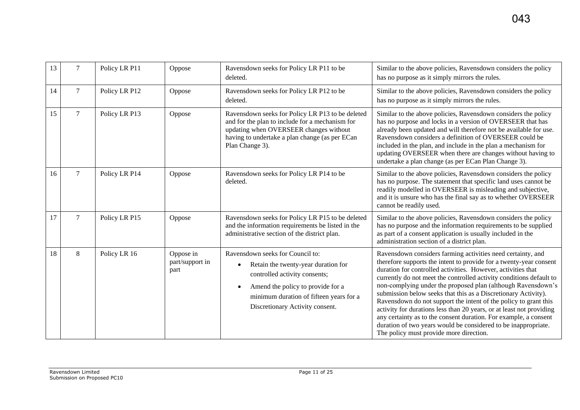| 13 |   | Policy LR P11 | Oppose                               | Ravensdown seeks for Policy LR P11 to be<br>deleted.                                                                                                                                                                                     | Similar to the above policies, Ravensdown considers the policy<br>has no purpose as it simply mirrors the rules.                                                                                                                                                                                                                                                                                                                                                                                                                                                                                                                                                                                                                        |
|----|---|---------------|--------------------------------------|------------------------------------------------------------------------------------------------------------------------------------------------------------------------------------------------------------------------------------------|-----------------------------------------------------------------------------------------------------------------------------------------------------------------------------------------------------------------------------------------------------------------------------------------------------------------------------------------------------------------------------------------------------------------------------------------------------------------------------------------------------------------------------------------------------------------------------------------------------------------------------------------------------------------------------------------------------------------------------------------|
| 14 | 7 | Policy LR P12 | Oppose                               | Ravensdown seeks for Policy LR P12 to be<br>deleted.                                                                                                                                                                                     | Similar to the above policies, Ravensdown considers the policy<br>has no purpose as it simply mirrors the rules.                                                                                                                                                                                                                                                                                                                                                                                                                                                                                                                                                                                                                        |
| 15 | 7 | Policy LR P13 | Oppose                               | Ravensdown seeks for Policy LR P13 to be deleted<br>and for the plan to include for a mechanism for<br>updating when OVERSEER changes without<br>having to undertake a plan change (as per ECan<br>Plan Change 3).                       | Similar to the above policies, Ravensdown considers the policy<br>has no purpose and locks in a version of OVERSEER that has<br>already been updated and will therefore not be available for use.<br>Ravensdown considers a definition of OVERSEER could be<br>included in the plan, and include in the plan a mechanism for<br>updating OVERSEER when there are changes without having to<br>undertake a plan change (as per ECan Plan Change 3).                                                                                                                                                                                                                                                                                      |
| 16 | 7 | Policy LR P14 | Oppose                               | Ravensdown seeks for Policy LR P14 to be<br>deleted.                                                                                                                                                                                     | Similar to the above policies, Ravensdown considers the policy<br>has no purpose. The statement that specific land uses cannot be<br>readily modelled in OVERSEER is misleading and subjective,<br>and it is unsure who has the final say as to whether OVERSEER<br>cannot be readily used.                                                                                                                                                                                                                                                                                                                                                                                                                                             |
| 17 | 7 | Policy LR P15 | Oppose                               | Ravensdown seeks for Policy LR P15 to be deleted<br>and the information requirements be listed in the<br>administrative section of the district plan.                                                                                    | Similar to the above policies, Ravensdown considers the policy<br>has no purpose and the information requirements to be supplied<br>as part of a consent application is usually included in the<br>administration section of a district plan.                                                                                                                                                                                                                                                                                                                                                                                                                                                                                           |
| 18 | 8 | Policy LR 16  | Oppose in<br>part/support in<br>part | Ravensdown seeks for Council to:<br>Retain the twenty-year duration for<br>$\bullet$<br>controlled activity consents;<br>Amend the policy to provide for a<br>minimum duration of fifteen years for a<br>Discretionary Activity consent. | Ravensdown considers farming activities need certainty, and<br>therefore supports the intent to provide for a twenty-year consent<br>duration for controlled activities. However, activities that<br>currently do not meet the controlled activity conditions default to<br>non-complying under the proposed plan (although Ravensdown's<br>submission below seeks that this as a Discretionary Activity).<br>Ravensdown do not support the intent of the policy to grant this<br>activity for durations less than 20 years, or at least not providing<br>any certainty as to the consent duration. For example, a consent<br>duration of two years would be considered to be inappropriate.<br>The policy must provide more direction. |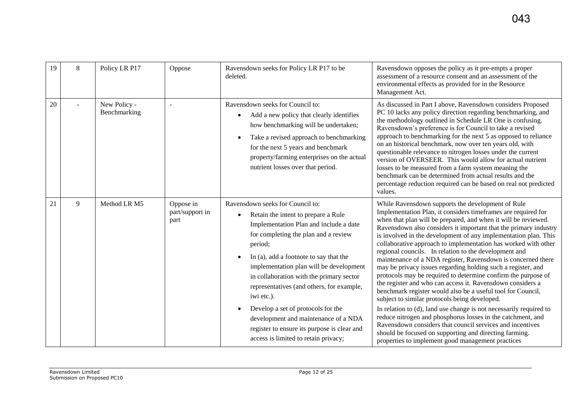| 19 | 8 | Policy LR P17                | Oppose                               | Ravensdown seeks for Policy LR P17 to be<br>deleted.                                                                                                                                                                                                                                                                                                                                                                                                                                                                                               | Ravensdown opposes the policy as it pre-empts a proper<br>assessment of a resource consent and an assessment of the<br>environmental effects as provided for in the Resource<br>Management Act.                                                                                                                                                                                                                                                                                                                                                                                                                                                                                                                                                                                                                                                                                                                                                                                                                                                                                                                                                        |
|----|---|------------------------------|--------------------------------------|----------------------------------------------------------------------------------------------------------------------------------------------------------------------------------------------------------------------------------------------------------------------------------------------------------------------------------------------------------------------------------------------------------------------------------------------------------------------------------------------------------------------------------------------------|--------------------------------------------------------------------------------------------------------------------------------------------------------------------------------------------------------------------------------------------------------------------------------------------------------------------------------------------------------------------------------------------------------------------------------------------------------------------------------------------------------------------------------------------------------------------------------------------------------------------------------------------------------------------------------------------------------------------------------------------------------------------------------------------------------------------------------------------------------------------------------------------------------------------------------------------------------------------------------------------------------------------------------------------------------------------------------------------------------------------------------------------------------|
| 20 |   | New Policy -<br>Benchmarking |                                      | Ravensdown seeks for Council to:<br>Add a new policy that clearly identifies<br>how benchmarking will be undertaken;<br>Take a revised approach to benchmarking<br>for the next 5 years and benchmark<br>property/farming enterprises on the actual<br>nutrient losses over that period.                                                                                                                                                                                                                                                           | As discussed in Part I above, Ravensdown considers Proposed<br>PC 10 lacks any policy direction regarding benchmarking, and<br>the methodology outlined in Schedule LR One is confusing.<br>Ravensdown's preference is for Council to take a revised<br>approach to benchmarking for the next 5 as opposed to reliance<br>on an historical benchmark, now over ten years old, with<br>questionable relevance to nitrogen losses under the current<br>version of OVERSEER. This would allow for actual nutrient<br>losses to be measured from a farm system meaning the<br>benchmark can be determined from actual results and the<br>percentage reduction required can be based on real not predicted<br>values.                                                                                                                                                                                                                                                                                                                                                                                                                                       |
| 21 | 9 | Method LR M5                 | Oppose in<br>part/support in<br>part | Ravensdown seeks for Council to:<br>Retain the intent to prepare a Rule<br>$\bullet$<br>Implementation Plan and include a date<br>for completing the plan and a review<br>period;<br>In (a), add a footnote to say that the<br>implementation plan will be development<br>in collaboration with the primary sector<br>representatives (and others, for example,<br>iwi etc.).<br>Develop a set of protocols for the<br>development and maintenance of a NDA<br>register to ensure its purpose is clear and<br>access is limited to retain privacy; | While Ravensdown supports the development of Rule<br>Implementation Plan, it considers timeframes are required for<br>when that plan will be prepared, and when it will be reviewed.<br>Ravensdown also considers it important that the primary industry<br>is involved in the development of any implementation plan. This<br>collaborative approach to implementation has worked with other<br>regional councils. In relation to the development and<br>maintenance of a NDA register, Ravensdown is concerned there<br>may be privacy issues regarding holding such a register, and<br>protocols may be required to determine confirm the purpose of<br>the register and who can access it. Ravensdown considers a<br>benchmark register would also be a useful tool for Council,<br>subject to similar protocols being developed.<br>In relation to (d), land use change is not necessarily required to<br>reduce nitrogen and phosphorus losses in the catchment, and<br>Ravensdown considers that council services and incentives<br>should be focused on supporting and directing farming.<br>properties to implement good management practices |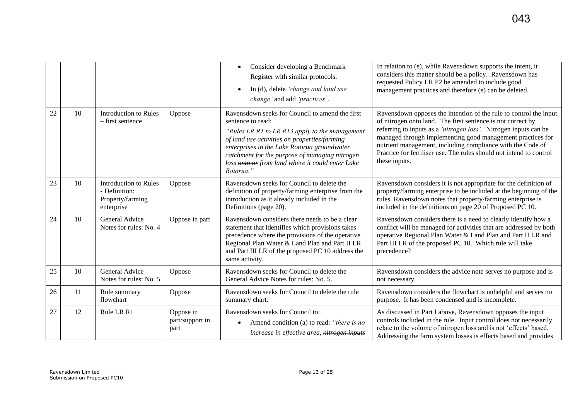|    |    |                                                                                 |                                      | Consider developing a Benchmark<br>$\bullet$<br>Register with similar protocols.<br>In (d), delete 'change and land use<br>change' and add 'practices'.                                                                                                                                                                                  | In relation to (e), while Ravensdown supports the intent, it<br>considers this matter should be a policy. Ravensdown has<br>requested Policy LR P2 be amended to include good<br>management practices and therefore (e) can be deleted.                                                                                                                                                                                  |
|----|----|---------------------------------------------------------------------------------|--------------------------------------|------------------------------------------------------------------------------------------------------------------------------------------------------------------------------------------------------------------------------------------------------------------------------------------------------------------------------------------|--------------------------------------------------------------------------------------------------------------------------------------------------------------------------------------------------------------------------------------------------------------------------------------------------------------------------------------------------------------------------------------------------------------------------|
| 22 | 10 | <b>Introduction to Rules</b><br>- first sentence                                | Oppose                               | Ravensdown seeks for Council to amend the first<br>sentence to read:<br>"Rules LR R1 to LR R13 apply to the management<br>of land use activities on properties/farming<br>enterprises in the Lake Rotorua groundwater<br>catchment for the purpose of managing nitrogen<br>loss onto or from land where it could enter Lake<br>Rotorua." | Ravensdown opposes the intention of the rule to control the input<br>of nitrogen onto land. The first sentence is not correct by<br>referring to inputs as a 'nitrogen loss'. Nitrogen inputs can be<br>managed through implementing good management practices for<br>nutrient management, including compliance with the Code of<br>Practice for fertiliser use. The rules should not intend to control<br>these inputs. |
| 23 | 10 | <b>Introduction to Rules</b><br>- Definition:<br>Property/farming<br>enterprise | Oppose                               | Ravensdown seeks for Council to delete the<br>definition of property/farming enterprise from the<br>introduction as it already included in the<br>Definitions (page 20).                                                                                                                                                                 | Ravensdown considers it is not appropriate for the definition of<br>property/farming enterprise to be included at the beginning of the<br>rules. Ravensdown notes that property/farming enterprise is<br>included in the definitions on page 20 of Proposed PC 10.                                                                                                                                                       |
| 24 | 10 | General Advice<br>Notes for rules: No. 4                                        | Oppose in part                       | Ravensdown considers there needs to be a clear<br>statement that identifies which provisions takes<br>precedence where the provisions of the operative<br>Regional Plan Water & Land Plan and Part II LR<br>and Part III LR of the proposed PC 10 address the<br>same activity.                                                          | Ravensdown considers there is a need to clearly identify how a<br>conflict will be managed for activities that are addressed by both<br>operative Regional Plan Water & Land Plan and Part II LR and<br>Part III LR of the proposed PC 10. Which rule will take<br>precedence?                                                                                                                                           |
| 25 | 10 | General Advice<br>Notes for rules: No. 5                                        | Oppose                               | Ravensdown seeks for Council to delete the<br>General Advice Notes for rules: No. 5.                                                                                                                                                                                                                                                     | Ravensdown considers the advice note serves no purpose and is<br>not necessary.                                                                                                                                                                                                                                                                                                                                          |
| 26 | 11 | Rule summary<br>flowchart                                                       | Oppose                               | Ravensdown seeks for Council to delete the rule<br>summary chart.                                                                                                                                                                                                                                                                        | Ravensdown considers the flowchart is unhelpful and serves no<br>purpose. It has been condensed and is incomplete.                                                                                                                                                                                                                                                                                                       |
| 27 | 12 | Rule LR R1                                                                      | Oppose in<br>part/support in<br>part | Ravensdown seeks for Council to:<br>Amend condition (a) to read: "there is no<br>increase in effective area, nitrogen inputs                                                                                                                                                                                                             | As discussed in Part I above, Ravensdown opposes the input<br>controls included in the rule. Input control does not necessarily<br>relate to the volume of nitrogen loss and is not 'effects' based.<br>Addressing the farm system losses is effects based and provides                                                                                                                                                  |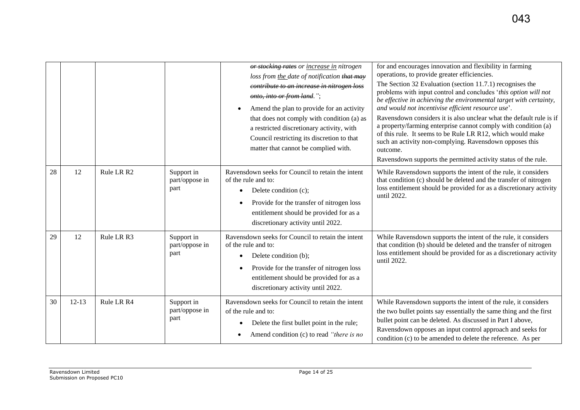|    |         |            |                                      | or stocking rates or increase in nitrogen<br>loss from the date of notification that may<br>contribute to an increase in nitrogen loss<br>onto, into or from land.";<br>Amend the plan to provide for an activity<br>that does not comply with condition (a) as<br>a restricted discretionary activity, with<br>Council restricting its discretion to that<br>matter that cannot be complied with. | for and encourages innovation and flexibility in farming<br>operations, to provide greater efficiencies.<br>The Section 32 Evaluation (section 11.7.1) recognises the<br>problems with input control and concludes 'this option will not<br>be effective in achieving the environmental target with certainty,<br>and would not incentivise efficient resource use'.<br>Ravensdown considers it is also unclear what the default rule is if<br>a property/farming enterprise cannot comply with condition (a)<br>of this rule. It seems to be Rule LR R12, which would make<br>such an activity non-complying. Ravensdown opposes this<br>outcome.<br>Ravensdown supports the permitted activity status of the rule. |
|----|---------|------------|--------------------------------------|----------------------------------------------------------------------------------------------------------------------------------------------------------------------------------------------------------------------------------------------------------------------------------------------------------------------------------------------------------------------------------------------------|----------------------------------------------------------------------------------------------------------------------------------------------------------------------------------------------------------------------------------------------------------------------------------------------------------------------------------------------------------------------------------------------------------------------------------------------------------------------------------------------------------------------------------------------------------------------------------------------------------------------------------------------------------------------------------------------------------------------|
| 28 | 12      | Rule LR R2 | Support in<br>part/oppose in<br>part | Ravensdown seeks for Council to retain the intent<br>of the rule and to:<br>Delete condition (c);<br>$\bullet$<br>Provide for the transfer of nitrogen loss<br>entitlement should be provided for as a<br>discretionary activity until 2022.                                                                                                                                                       | While Ravensdown supports the intent of the rule, it considers<br>that condition (c) should be deleted and the transfer of nitrogen<br>loss entitlement should be provided for as a discretionary activity<br>until 2022.                                                                                                                                                                                                                                                                                                                                                                                                                                                                                            |
| 29 | 12      | Rule LR R3 | Support in<br>part/oppose in<br>part | Ravensdown seeks for Council to retain the intent<br>of the rule and to:<br>Delete condition (b);<br>Provide for the transfer of nitrogen loss<br>entitlement should be provided for as a<br>discretionary activity until 2022.                                                                                                                                                                    | While Ravensdown supports the intent of the rule, it considers<br>that condition (b) should be deleted and the transfer of nitrogen<br>loss entitlement should be provided for as a discretionary activity<br>until 2022.                                                                                                                                                                                                                                                                                                                                                                                                                                                                                            |
| 30 | $12-13$ | Rule LR R4 | Support in<br>part/oppose in<br>part | Ravensdown seeks for Council to retain the intent<br>of the rule and to:<br>Delete the first bullet point in the rule;<br>Amend condition (c) to read "there is no                                                                                                                                                                                                                                 | While Ravensdown supports the intent of the rule, it considers<br>the two bullet points say essentially the same thing and the first<br>bullet point can be deleted. As discussed in Part I above,<br>Ravensdown opposes an input control approach and seeks for<br>condition (c) to be amended to delete the reference. As per                                                                                                                                                                                                                                                                                                                                                                                      |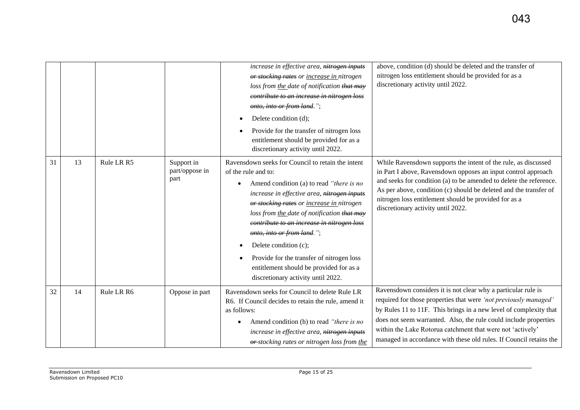|    |    |            |                                      | increase in effective area, nitrogen inputs<br>or stocking rates or increase in nitrogen<br>loss from the date of notification that may<br>contribute to an increase in nitrogen loss<br>onto, into or from land.";<br>Delete condition (d);<br>Provide for the transfer of nitrogen loss<br>entitlement should be provided for as a<br>discretionary activity until 2022.                                                                                                                         | above, condition (d) should be deleted and the transfer of<br>nitrogen loss entitlement should be provided for as a<br>discretionary activity until 2022.                                                                                                                                                                                                                                                      |
|----|----|------------|--------------------------------------|----------------------------------------------------------------------------------------------------------------------------------------------------------------------------------------------------------------------------------------------------------------------------------------------------------------------------------------------------------------------------------------------------------------------------------------------------------------------------------------------------|----------------------------------------------------------------------------------------------------------------------------------------------------------------------------------------------------------------------------------------------------------------------------------------------------------------------------------------------------------------------------------------------------------------|
| 31 | 13 | Rule LR R5 | Support in<br>part/oppose in<br>part | Ravensdown seeks for Council to retain the intent<br>of the rule and to:<br>Amend condition (a) to read "there is no<br>increase in effective area, nitrogen inputs<br>or stocking rates or increase in nitrogen<br>loss from the date of notification that may<br>contribute to an increase in nitrogen loss<br>onto, into or from land.";<br>Delete condition (c);<br>Provide for the transfer of nitrogen loss<br>entitlement should be provided for as a<br>discretionary activity until 2022. | While Ravensdown supports the intent of the rule, as discussed<br>in Part I above, Ravensdown opposes an input control approach<br>and seeks for condition (a) to be amended to delete the reference.<br>As per above, condition (c) should be deleted and the transfer of<br>nitrogen loss entitlement should be provided for as a<br>discretionary activity until 2022.                                      |
| 32 | 14 | Rule LR R6 | Oppose in part                       | Ravensdown seeks for Council to delete Rule LR<br>R6. If Council decides to retain the rule, amend it<br>as follows:<br>Amend condition (b) to read "there is no<br>increase in effective area, nitrogen inputs<br>or-stocking rates or nitrogen loss from the                                                                                                                                                                                                                                     | Ravensdown considers it is not clear why a particular rule is<br>required for those properties that were 'not previously managed'<br>by Rules 11 to 11F. This brings in a new level of complexity that<br>does not seem warranted. Also, the rule could include properties<br>within the Lake Rotorua catchment that were not 'actively'<br>managed in accordance with these old rules. If Council retains the |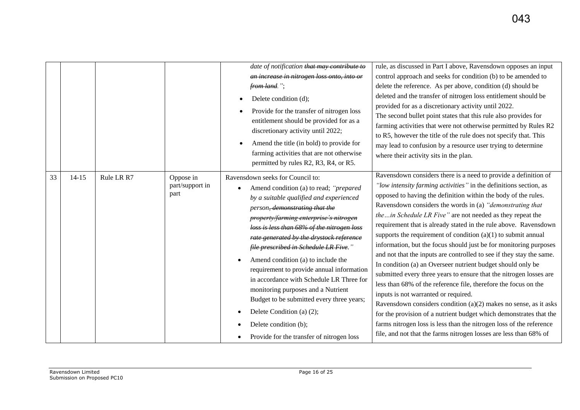|    |           |            |                                      | date of notification that may contribute to<br>an increase in nitrogen loss onto, into or<br>from land.";<br>Delete condition (d);<br>Provide for the transfer of nitrogen loss<br>entitlement should be provided for as a<br>discretionary activity until 2022;<br>Amend the title (in bold) to provide for<br>٠<br>farming activities that are not otherwise<br>permitted by rules R2, R3, R4, or R5.                                                                                                                                                                                                                                                                            | rule, as discussed in Part I above, Ravensdown opposes an input<br>control approach and seeks for condition (b) to be amended to<br>delete the reference. As per above, condition (d) should be<br>deleted and the transfer of nitrogen loss entitlement should be<br>provided for as a discretionary activity until 2022.<br>The second bullet point states that this rule also provides for<br>farming activities that were not otherwise permitted by Rules R2<br>to R5, however the title of the rule does not specify that. This<br>may lead to confusion by a resource user trying to determine<br>where their activity sits in the plan.                                                                                                                                                                                                                                                                                                                                                                                                                                                                                                              |
|----|-----------|------------|--------------------------------------|------------------------------------------------------------------------------------------------------------------------------------------------------------------------------------------------------------------------------------------------------------------------------------------------------------------------------------------------------------------------------------------------------------------------------------------------------------------------------------------------------------------------------------------------------------------------------------------------------------------------------------------------------------------------------------|--------------------------------------------------------------------------------------------------------------------------------------------------------------------------------------------------------------------------------------------------------------------------------------------------------------------------------------------------------------------------------------------------------------------------------------------------------------------------------------------------------------------------------------------------------------------------------------------------------------------------------------------------------------------------------------------------------------------------------------------------------------------------------------------------------------------------------------------------------------------------------------------------------------------------------------------------------------------------------------------------------------------------------------------------------------------------------------------------------------------------------------------------------------|
| 33 | $14 - 15$ | Rule LR R7 | Oppose in<br>part/support in<br>part | Ravensdown seeks for Council to:<br>Amend condition (a) to read; "prepared<br>$\bullet$<br>by a suitable qualified and experienced<br>person <del>, demonstrating that the</del><br>property/farming enterprise's nitrogen<br>loss is less than 68% of the nitrogen loss<br>rate generated by the drystock reference<br>file prescribed in Schedule LR Five."<br>Amend condition (a) to include the<br>requirement to provide annual information<br>in accordance with Schedule LR Three for<br>monitoring purposes and a Nutrient<br>Budget to be submitted every three years;<br>Delete Condition (a) (2);<br>Delete condition (b);<br>Provide for the transfer of nitrogen loss | Ravensdown considers there is a need to provide a definition of<br>"low intensity farming activities" in the definitions section, as<br>opposed to having the definition within the body of the rules.<br>Ravensdown considers the words in (a) "demonstrating that<br>thein Schedule LR Five" are not needed as they repeat the<br>requirement that is already stated in the rule above. Ravensdown<br>supports the requirement of condition $(a)(1)$ to submit annual<br>information, but the focus should just be for monitoring purposes<br>and not that the inputs are controlled to see if they stay the same.<br>In condition (a) an Overseer nutrient budget should only be<br>submitted every three years to ensure that the nitrogen losses are<br>less than 68% of the reference file, therefore the focus on the<br>inputs is not warranted or required.<br>Ravensdown considers condition $(a)(2)$ makes no sense, as it asks<br>for the provision of a nutrient budget which demonstrates that the<br>farms nitrogen loss is less than the nitrogen loss of the reference<br>file, and not that the farms nitrogen losses are less than 68% of |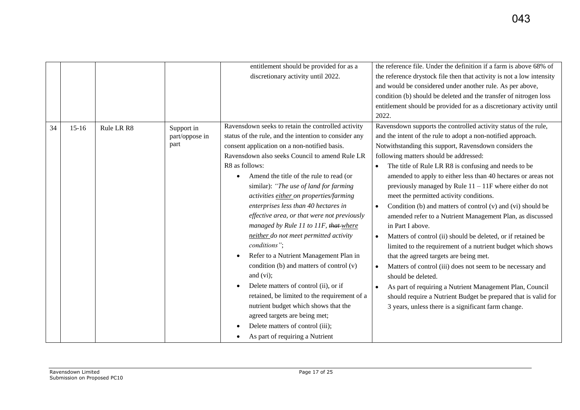|    |         |            |                                      | entitlement should be provided for as a<br>discretionary activity until 2022.                                                                                                                                                                                                                                                                                                                                                                                                                                                                                                                                                                                                                                                                                                                                                                                                                            | the reference file. Under the definition if a farm is above 68% of<br>the reference drystock file then that activity is not a low intensity<br>and would be considered under another rule. As per above,<br>condition (b) should be deleted and the transfer of nitrogen loss<br>entitlement should be provided for as a discretionary activity until<br>2022.                                                                                                                                                                                                                                                                                                                                                                                                                                                                                                                                                                                                                                                                                                                                                |
|----|---------|------------|--------------------------------------|----------------------------------------------------------------------------------------------------------------------------------------------------------------------------------------------------------------------------------------------------------------------------------------------------------------------------------------------------------------------------------------------------------------------------------------------------------------------------------------------------------------------------------------------------------------------------------------------------------------------------------------------------------------------------------------------------------------------------------------------------------------------------------------------------------------------------------------------------------------------------------------------------------|---------------------------------------------------------------------------------------------------------------------------------------------------------------------------------------------------------------------------------------------------------------------------------------------------------------------------------------------------------------------------------------------------------------------------------------------------------------------------------------------------------------------------------------------------------------------------------------------------------------------------------------------------------------------------------------------------------------------------------------------------------------------------------------------------------------------------------------------------------------------------------------------------------------------------------------------------------------------------------------------------------------------------------------------------------------------------------------------------------------|
| 34 | $15-16$ | Rule LR R8 | Support in<br>part/oppose in<br>part | Ravensdown seeks to retain the controlled activity<br>status of the rule, and the intention to consider any<br>consent application on a non-notified basis.<br>Ravensdown also seeks Council to amend Rule LR<br>R8 as follows:<br>Amend the title of the rule to read (or<br>similar): "The use of land for farming<br>activities either on properties/farming<br>enterprises less than 40 hectares in<br>effective area, or that were not previously<br>managed by Rule 11 to 11F, that-where<br>neither do not meet permitted activity<br>conditions";<br>Refer to a Nutrient Management Plan in<br>condition (b) and matters of control (v)<br>and $(vi)$ ;<br>Delete matters of control (ii), or if<br>retained, be limited to the requirement of a<br>nutrient budget which shows that the<br>agreed targets are being met;<br>Delete matters of control (iii);<br>As part of requiring a Nutrient | Ravensdown supports the controlled activity status of the rule,<br>and the intent of the rule to adopt a non-notified approach.<br>Notwithstanding this support, Ravensdown considers the<br>following matters should be addressed:<br>The title of Rule LR R8 is confusing and needs to be<br>amended to apply to either less than 40 hectares or areas not<br>previously managed by Rule $11 - 11F$ where either do not<br>meet the permitted activity conditions.<br>Condition (b) and matters of control (v) and (vi) should be<br>$\bullet$<br>amended refer to a Nutrient Management Plan, as discussed<br>in Part I above.<br>Matters of control (ii) should be deleted, or if retained be<br>$\bullet$<br>limited to the requirement of a nutrient budget which shows<br>that the agreed targets are being met.<br>Matters of control (iii) does not seem to be necessary and<br>should be deleted.<br>As part of requiring a Nutrient Management Plan, Council<br>$\bullet$<br>should require a Nutrient Budget be prepared that is valid for<br>3 years, unless there is a significant farm change. |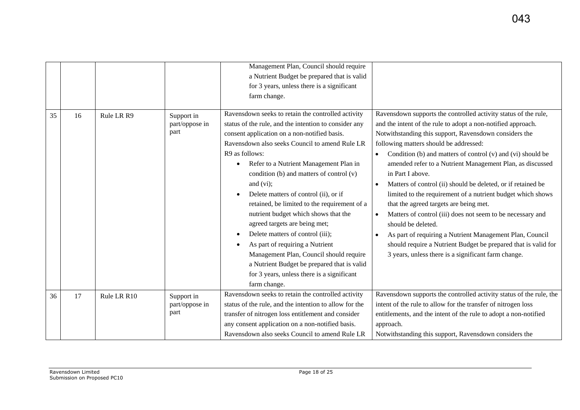|    |    |             |                                      | Management Plan, Council should require<br>a Nutrient Budget be prepared that is valid<br>for 3 years, unless there is a significant<br>farm change.                                                                                                                                                                                                                                                                                                                                                                                                                                                                                                                                                                                     |                                                                                                                                                                                                                                                                                                                                                                                                                                                                                                                                                                                                                                                                                                                                                                                                                                                    |
|----|----|-------------|--------------------------------------|------------------------------------------------------------------------------------------------------------------------------------------------------------------------------------------------------------------------------------------------------------------------------------------------------------------------------------------------------------------------------------------------------------------------------------------------------------------------------------------------------------------------------------------------------------------------------------------------------------------------------------------------------------------------------------------------------------------------------------------|----------------------------------------------------------------------------------------------------------------------------------------------------------------------------------------------------------------------------------------------------------------------------------------------------------------------------------------------------------------------------------------------------------------------------------------------------------------------------------------------------------------------------------------------------------------------------------------------------------------------------------------------------------------------------------------------------------------------------------------------------------------------------------------------------------------------------------------------------|
| 35 | 16 | Rule LR R9  | Support in<br>part/oppose in<br>part | Ravensdown seeks to retain the controlled activity<br>status of the rule, and the intention to consider any<br>consent application on a non-notified basis.<br>Ravensdown also seeks Council to amend Rule LR<br>R9 as follows:<br>Refer to a Nutrient Management Plan in<br>condition (b) and matters of control $(v)$<br>and $(vi)$ ;<br>Delete matters of control (ii), or if<br>retained, be limited to the requirement of a<br>nutrient budget which shows that the<br>agreed targets are being met;<br>Delete matters of control (iii);<br>As part of requiring a Nutrient<br>Management Plan, Council should require<br>a Nutrient Budget be prepared that is valid<br>for 3 years, unless there is a significant<br>farm change. | Ravensdown supports the controlled activity status of the rule,<br>and the intent of the rule to adopt a non-notified approach.<br>Notwithstanding this support, Ravensdown considers the<br>following matters should be addressed:<br>Condition (b) and matters of control (v) and (vi) should be<br>amended refer to a Nutrient Management Plan, as discussed<br>in Part I above.<br>Matters of control (ii) should be deleted, or if retained be<br>limited to the requirement of a nutrient budget which shows<br>that the agreed targets are being met.<br>Matters of control (iii) does not seem to be necessary and<br>should be deleted.<br>As part of requiring a Nutrient Management Plan, Council<br>$\bullet$<br>should require a Nutrient Budget be prepared that is valid for<br>3 years, unless there is a significant farm change. |
| 36 | 17 | Rule LR R10 | Support in<br>part/oppose in<br>part | Ravensdown seeks to retain the controlled activity<br>status of the rule, and the intention to allow for the<br>transfer of nitrogen loss entitlement and consider<br>any consent application on a non-notified basis.<br>Ravensdown also seeks Council to amend Rule LR                                                                                                                                                                                                                                                                                                                                                                                                                                                                 | Ravensdown supports the controlled activity status of the rule, the<br>intent of the rule to allow for the transfer of nitrogen loss<br>entitlements, and the intent of the rule to adopt a non-notified<br>approach.<br>Notwithstanding this support, Ravensdown considers the                                                                                                                                                                                                                                                                                                                                                                                                                                                                                                                                                                    |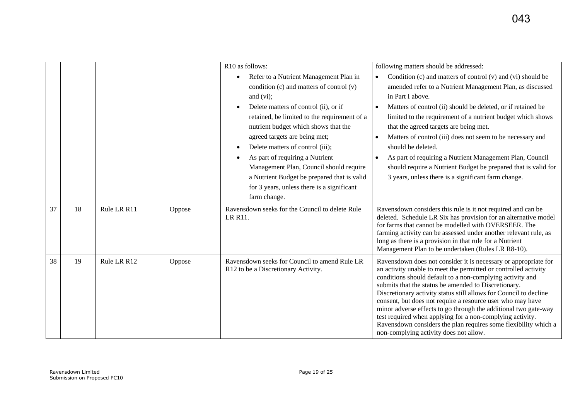|    |    |             |        | R10 as follows:<br>Refer to a Nutrient Management Plan in<br>condition (c) and matters of control (v)<br>and $(vi)$ ;<br>Delete matters of control (ii), or if<br>retained, be limited to the requirement of a<br>nutrient budget which shows that the<br>agreed targets are being met;<br>Delete matters of control (iii);<br>As part of requiring a Nutrient<br>Management Plan, Council should require<br>a Nutrient Budget be prepared that is valid<br>for 3 years, unless there is a significant<br>farm change. | following matters should be addressed:<br>Condition (c) and matters of control (v) and (vi) should be<br>$\bullet$<br>amended refer to a Nutrient Management Plan, as discussed<br>in Part I above.<br>Matters of control (ii) should be deleted, or if retained be<br>$\bullet$<br>limited to the requirement of a nutrient budget which shows<br>that the agreed targets are being met.<br>Matters of control (iii) does not seem to be necessary and<br>$\bullet$<br>should be deleted.<br>As part of requiring a Nutrient Management Plan, Council<br>$\bullet$<br>should require a Nutrient Budget be prepared that is valid for<br>3 years, unless there is a significant farm change. |
|----|----|-------------|--------|------------------------------------------------------------------------------------------------------------------------------------------------------------------------------------------------------------------------------------------------------------------------------------------------------------------------------------------------------------------------------------------------------------------------------------------------------------------------------------------------------------------------|----------------------------------------------------------------------------------------------------------------------------------------------------------------------------------------------------------------------------------------------------------------------------------------------------------------------------------------------------------------------------------------------------------------------------------------------------------------------------------------------------------------------------------------------------------------------------------------------------------------------------------------------------------------------------------------------|
| 37 | 18 | Rule LR R11 | Oppose | Ravensdown seeks for the Council to delete Rule<br>LR R11.                                                                                                                                                                                                                                                                                                                                                                                                                                                             | Ravensdown considers this rule is it not required and can be<br>deleted. Schedule LR Six has provision for an alternative model<br>for farms that cannot be modelled with OVERSEER. The<br>farming activity can be assessed under another relevant rule, as<br>long as there is a provision in that rule for a Nutrient<br>Management Plan to be undertaken (Rules LR R8-10).                                                                                                                                                                                                                                                                                                                |
| 38 | 19 | Rule LR R12 | Oppose | Ravensdown seeks for Council to amend Rule LR<br>R12 to be a Discretionary Activity.                                                                                                                                                                                                                                                                                                                                                                                                                                   | Ravensdown does not consider it is necessary or appropriate for<br>an activity unable to meet the permitted or controlled activity<br>conditions should default to a non-complying activity and<br>submits that the status be amended to Discretionary.<br>Discretionary activity status still allows for Council to decline<br>consent, but does not require a resource user who may have<br>minor adverse effects to go through the additional two gate-way<br>test required when applying for a non-complying activity.<br>Ravensdown considers the plan requires some flexibility which a<br>non-complying activity does not allow.                                                      |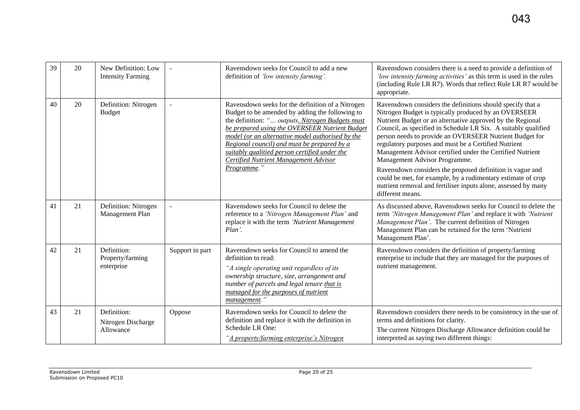| 39 | 20 | New Definition: Low<br><b>Intensity Farming</b> |                 | Ravensdown seeks for Council to add a new<br>definition of 'low intensity farming'.                                                                                                                                                                                                                                                                                                                                    | Ravensdown considers there is a need to provide a definition of<br>'low intensity farming activities' as this term is used in the rules<br>(including Rule LR R7). Words that reflect Rule LR R7 would be<br>appropriate.                                                                                                                                                                                                                                                                                                                                                                                                                                                              |
|----|----|-------------------------------------------------|-----------------|------------------------------------------------------------------------------------------------------------------------------------------------------------------------------------------------------------------------------------------------------------------------------------------------------------------------------------------------------------------------------------------------------------------------|----------------------------------------------------------------------------------------------------------------------------------------------------------------------------------------------------------------------------------------------------------------------------------------------------------------------------------------------------------------------------------------------------------------------------------------------------------------------------------------------------------------------------------------------------------------------------------------------------------------------------------------------------------------------------------------|
| 40 | 20 | Definition: Nitrogen<br><b>Budget</b>           |                 | Ravensdown seeks for the definition of a Nitrogen<br>Budget to be amended by adding the following to<br>the definition: " outputs. Nitrogen Budgets must<br>be prepared using the OVERSEER Nutrient Budget<br>model (or an alternative model authorised by the<br>Regional council) and must be prepared by a<br>suitably qualitied person certified under the<br>Certified Nutrient Management Advisor<br>Programme." | Ravensdown considers the definitions should specify that a<br>Nitrogen Budget is typically produced by an OVERSEER<br>Nutrient Budget or an alternative approved by the Regional<br>Council, as specified in Schedule LR Six. A suitably qualified<br>person needs to provide an OVERSEER Nutrient Budget for<br>regulatory purposes and must be a Certified Nutrient<br>Management Advisor certified under the Certified Nutrient<br>Management Advisor Programme.<br>Ravensdown considers the proposed definition is vague and<br>could be met, for example, by a rudimentary estimate of crop<br>nutrient removal and fertiliser inputs alone, assessed by many<br>different means. |
| 41 | 21 | Definition: Nitrogen<br>Management Plan         |                 | Ravensdown seeks for Council to delete the<br>reference to a 'Nitrogen Management Plan' and<br>replace it with the term 'Nutrient Management<br>Plan'.                                                                                                                                                                                                                                                                 | As discussed above, Ravensdown seeks for Council to delete the<br>term 'Nitrogen Management Plan' and replace it with 'Nutrient'<br>Management Plan'. The current definition of Nitrogen<br>Management Plan can be retained for the term 'Nutrient<br>Management Plan'.                                                                                                                                                                                                                                                                                                                                                                                                                |
| 42 | 21 | Definition:<br>Property/farming<br>enterprise   | Support in part | Ravensdown seeks for Council to amend the<br>definition to read:<br>"A single operating unit regardless of its<br>ownership structure, size, arrangement and<br>number of parcels and legal tenure that is<br>managed for the purposes of nutrient<br>management."                                                                                                                                                     | Ravensdown considers the definition of property/farming<br>enterprise to include that they are managed for the purposes of<br>nutrient management.                                                                                                                                                                                                                                                                                                                                                                                                                                                                                                                                     |
| 43 | 21 | Definition:<br>Nitrogen Discharge<br>Allowance  | Oppose          | Ravensdown seeks for Council to delete the<br>definition and replace it with the definition in<br>Schedule LR One:<br>"A property/farming enterprise's Nitrogen                                                                                                                                                                                                                                                        | Ravensdown considers there needs to be consistency in the use of<br>terms and definitions for clarity.<br>The current Nitrogen Discharge Allowance definition could be<br>interpreted as saying two different things:                                                                                                                                                                                                                                                                                                                                                                                                                                                                  |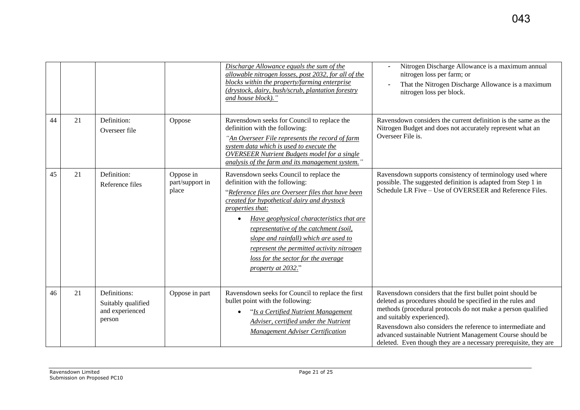|    |    |                                                                 |                                       | Discharge Allowance equals the sum of the<br>allowable nitrogen losses, post 2032, for all of the<br>blocks within the property/farming enterprise<br>(drystock, dairy, bush/scrub, plantation forestry<br>and house block)."                                                                                                                                                                                                                | Nitrogen Discharge Allowance is a maximum annual<br>nitrogen loss per farm; or<br>That the Nitrogen Discharge Allowance is a maximum<br>nitrogen loss per block.                                                                                                                                                                                                                                                       |
|----|----|-----------------------------------------------------------------|---------------------------------------|----------------------------------------------------------------------------------------------------------------------------------------------------------------------------------------------------------------------------------------------------------------------------------------------------------------------------------------------------------------------------------------------------------------------------------------------|------------------------------------------------------------------------------------------------------------------------------------------------------------------------------------------------------------------------------------------------------------------------------------------------------------------------------------------------------------------------------------------------------------------------|
| 44 | 21 | Definition:<br>Overseer file                                    | Oppose                                | Ravensdown seeks for Council to replace the<br>definition with the following:<br>"An Overseer File represents the record of farm<br>system data which is used to execute the<br><b>OVERSEER Nutrient Budgets model for a single</b><br>analysis of the farm and its management system."                                                                                                                                                      | Ravensdown considers the current definition is the same as the<br>Nitrogen Budget and does not accurately represent what an<br>Overseer File is.                                                                                                                                                                                                                                                                       |
| 45 | 21 | Definition:<br>Reference files                                  | Oppose in<br>part/support in<br>place | Ravensdown seeks Council to replace the<br>definition with the following:<br>"Reference files are Overseer files that have been<br>created for hypothetical dairy and drystock<br>properties that:<br>Have geophysical characteristics that are<br>representative of the catchment (soil,<br>slope and rainfall) which are used to<br>represent the permitted activity nitrogen<br>loss for the sector for the average<br>property at 2032." | Ravensdown supports consistency of terminology used where<br>possible. The suggested definition is adapted from Step 1 in<br>Schedule LR Five – Use of OVERSEER and Reference Files.                                                                                                                                                                                                                                   |
| 46 | 21 | Definitions:<br>Suitably qualified<br>and experienced<br>person | Oppose in part                        | Ravensdown seeks for Council to replace the first<br>bullet point with the following:<br>"Is a Certified Nutrient Management<br>Adviser, certified under the Nutrient<br><b>Management Adviser Certification</b>                                                                                                                                                                                                                             | Ravensdown considers that the first bullet point should be<br>deleted as procedures should be specified in the rules and<br>methods (procedural protocols do not make a person qualified<br>and suitably experienced).<br>Ravensdown also considers the reference to intermediate and<br>advanced sustainable Nutrient Management Course should be<br>deleted. Even though they are a necessary prerequisite, they are |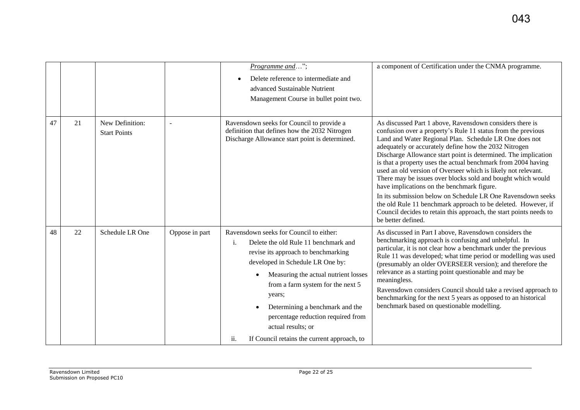|    |    |                                        |                | Programme and";<br>Delete reference to intermediate and<br>advanced Sustainable Nutrient<br>Management Course in bullet point two.                                                                                                                                                                                                                                                                                                    | a component of Certification under the CNMA programme.                                                                                                                                                                                                                                                                                                                                                                                                                                                                                                                                                                                                                                                                                                                                   |
|----|----|----------------------------------------|----------------|---------------------------------------------------------------------------------------------------------------------------------------------------------------------------------------------------------------------------------------------------------------------------------------------------------------------------------------------------------------------------------------------------------------------------------------|------------------------------------------------------------------------------------------------------------------------------------------------------------------------------------------------------------------------------------------------------------------------------------------------------------------------------------------------------------------------------------------------------------------------------------------------------------------------------------------------------------------------------------------------------------------------------------------------------------------------------------------------------------------------------------------------------------------------------------------------------------------------------------------|
| 47 | 21 | New Definition:<br><b>Start Points</b> |                | Ravensdown seeks for Council to provide a<br>definition that defines how the 2032 Nitrogen<br>Discharge Allowance start point is determined.                                                                                                                                                                                                                                                                                          | As discussed Part 1 above, Ravensdown considers there is<br>confusion over a property's Rule 11 status from the previous<br>Land and Water Regional Plan. Schedule LR One does not<br>adequately or accurately define how the 2032 Nitrogen<br>Discharge Allowance start point is determined. The implication<br>is that a property uses the actual benchmark from 2004 having<br>used an old version of Overseer which is likely not relevant.<br>There may be issues over blocks sold and bought which would<br>have implications on the benchmark figure.<br>In its submission below on Schedule LR One Ravensdown seeks<br>the old Rule 11 benchmark approach to be deleted. However, if<br>Council decides to retain this approach, the start points needs to<br>be better defined. |
| 48 | 22 | Schedule LR One                        | Oppose in part | Ravensdown seeks for Council to either:<br>$\mathbf{i}$ .<br>Delete the old Rule 11 benchmark and<br>revise its approach to benchmarking<br>developed in Schedule LR One by:<br>Measuring the actual nutrient losses<br>$\bullet$<br>from a farm system for the next 5<br>years;<br>Determining a benchmark and the<br>percentage reduction required from<br>actual results; or<br>If Council retains the current approach, to<br>ii. | As discussed in Part I above, Ravensdown considers the<br>benchmarking approach is confusing and unhelpful. In<br>particular, it is not clear how a benchmark under the previous<br>Rule 11 was developed; what time period or modelling was used<br>(presumably an older OVERSEER version); and therefore the<br>relevance as a starting point questionable and may be<br>meaningless.<br>Ravensdown considers Council should take a revised approach to<br>benchmarking for the next 5 years as opposed to an historical<br>benchmark based on questionable modelling.                                                                                                                                                                                                                 |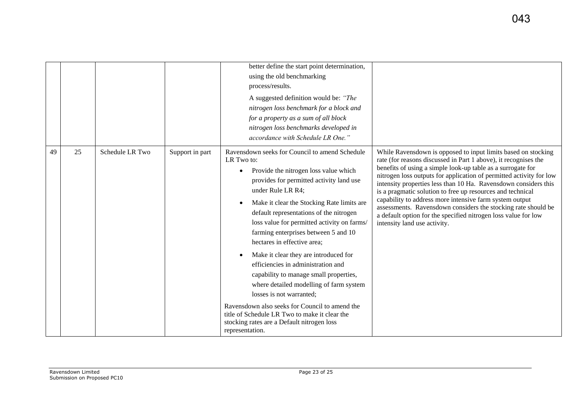|    |    |                 |                 | better define the start point determination,<br>using the old benchmarking<br>process/results.<br>A suggested definition would be: "The<br>nitrogen loss benchmark for a block and<br>for a property as a sum of all block<br>nitrogen loss benchmarks developed in<br>accordance with Schedule LR One."                                                                                                                                                                                                                                                                                                                                                                                                                                                               |                                                                                                                                                                                                                                                                                                                                                                                                                                                                                                                                                                                                                                       |
|----|----|-----------------|-----------------|------------------------------------------------------------------------------------------------------------------------------------------------------------------------------------------------------------------------------------------------------------------------------------------------------------------------------------------------------------------------------------------------------------------------------------------------------------------------------------------------------------------------------------------------------------------------------------------------------------------------------------------------------------------------------------------------------------------------------------------------------------------------|---------------------------------------------------------------------------------------------------------------------------------------------------------------------------------------------------------------------------------------------------------------------------------------------------------------------------------------------------------------------------------------------------------------------------------------------------------------------------------------------------------------------------------------------------------------------------------------------------------------------------------------|
| 49 | 25 | Schedule LR Two | Support in part | Ravensdown seeks for Council to amend Schedule<br>LR Two to:<br>Provide the nitrogen loss value which<br>$\bullet$<br>provides for permitted activity land use<br>under Rule LR R4;<br>Make it clear the Stocking Rate limits are<br>default representations of the nitrogen<br>loss value for permitted activity on farms/<br>farming enterprises between 5 and 10<br>hectares in effective area;<br>Make it clear they are introduced for<br>efficiencies in administration and<br>capability to manage small properties,<br>where detailed modelling of farm system<br>losses is not warranted;<br>Ravensdown also seeks for Council to amend the<br>title of Schedule LR Two to make it clear the<br>stocking rates are a Default nitrogen loss<br>representation. | While Ravensdown is opposed to input limits based on stocking<br>rate (for reasons discussed in Part 1 above), it recognises the<br>benefits of using a simple look-up table as a surrogate for<br>nitrogen loss outputs for application of permitted activity for low<br>intensity properties less than 10 Ha. Ravensdown considers this<br>is a pragmatic solution to free up resources and technical<br>capability to address more intensive farm system output<br>assessments. Ravensdown considers the stocking rate should be<br>a default option for the specified nitrogen loss value for low<br>intensity land use activity. |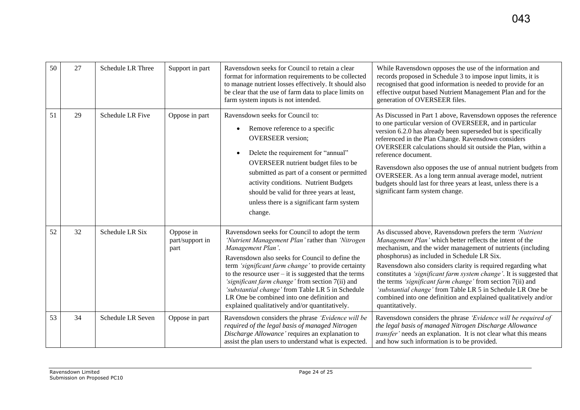| 50 | 27 | <b>Schedule LR Three</b> | Support in part                      | Ravensdown seeks for Council to retain a clear<br>format for information requirements to be collected<br>to manage nutrient losses effectively. It should also<br>be clear that the use of farm data to place limits on<br>farm system inputs is not intended.                                                                                                                                                                                                                                        | While Ravensdown opposes the use of the information and<br>records proposed in Schedule 3 to impose input limits, it is<br>recognised that good information is needed to provide for an<br>effective output based Nutrient Management Plan and for the<br>generation of OVERSEER files.                                                                                                                                                                                                                                                                                                       |
|----|----|--------------------------|--------------------------------------|-------------------------------------------------------------------------------------------------------------------------------------------------------------------------------------------------------------------------------------------------------------------------------------------------------------------------------------------------------------------------------------------------------------------------------------------------------------------------------------------------------|-----------------------------------------------------------------------------------------------------------------------------------------------------------------------------------------------------------------------------------------------------------------------------------------------------------------------------------------------------------------------------------------------------------------------------------------------------------------------------------------------------------------------------------------------------------------------------------------------|
| 51 | 29 | Schedule LR Five         | Oppose in part                       | Ravensdown seeks for Council to:<br>Remove reference to a specific<br><b>OVERSEER</b> version;<br>Delete the requirement for "annual"<br>OVERSEER nutrient budget files to be<br>submitted as part of a consent or permitted<br>activity conditions. Nutrient Budgets<br>should be valid for three years at least,<br>unless there is a significant farm system<br>change.                                                                                                                            | As Discussed in Part 1 above, Ravensdown opposes the reference<br>to one particular version of OVERSEER, and in particular<br>version 6.2.0 has already been superseded but is specifically<br>referenced in the Plan Change. Ravensdown considers<br>OVERSEER calculations should sit outside the Plan, within a<br>reference document.<br>Ravensdown also opposes the use of annual nutrient budgets from<br>OVERSEER. As a long term annual average model, nutrient<br>budgets should last for three years at least, unless there is a<br>significant farm system change.                  |
| 52 | 32 | Schedule LR Six          | Oppose in<br>part/support in<br>part | Ravensdown seeks for Council to adopt the term<br>'Nutrient Management Plan' rather than 'Nitrogen'<br>Management Plan'.<br>Ravensdown also seeks for Council to define the<br>term 'significant farm change' to provide certainty<br>to the resource user $-$ it is suggested that the terms<br>'significant farm change' from section 7(ii) and<br>'substantial change' from Table LR 5 in Schedule<br>LR One be combined into one definition and<br>explained qualitatively and/or quantitatively. | As discussed above, Ravensdown prefers the term 'Nutrient<br>Management Plan' which better reflects the intent of the<br>mechanism, and the wider management of nutrients (including<br>phosphorus) as included in Schedule LR Six.<br>Ravensdown also considers clarity is required regarding what<br>constitutes a 'significant farm system change'. It is suggested that<br>the terms 'significant farm change' from section 7(ii) and<br>'substantial change' from Table LR 5 in Schedule LR One be<br>combined into one definition and explained qualitatively and/or<br>quantitatively. |
| 53 | 34 | Schedule LR Seven        | Oppose in part                       | Ravensdown considers the phrase 'Evidence will be<br>required of the legal basis of managed Nitrogen<br>Discharge Allowance' requires an explanation to<br>assist the plan users to understand what is expected.                                                                                                                                                                                                                                                                                      | Ravensdown considers the phrase 'Evidence will be required of<br>the legal basis of managed Nitrogen Discharge Allowance<br>transfer' needs an explanation. It is not clear what this means<br>and how such information is to be provided.                                                                                                                                                                                                                                                                                                                                                    |